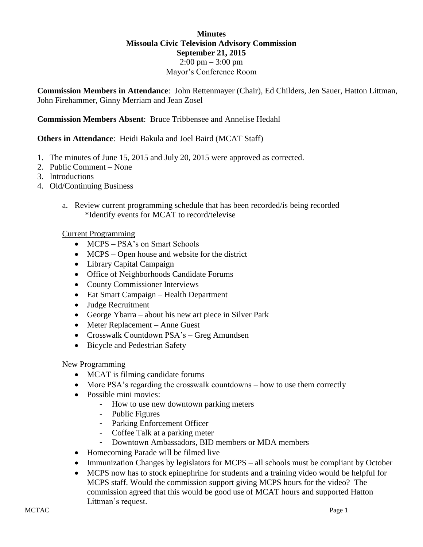### **Minutes Missoula Civic Television Advisory Commission September 21, 2015**  $2:00 \text{ pm} - 3:00 \text{ pm}$ Mayor's Conference Room

**Commission Members in Attendance**: John Rettenmayer (Chair), Ed Childers, Jen Sauer, Hatton Littman, John Firehammer, Ginny Merriam and Jean Zosel

**Commission Members Absent**: Bruce Tribbensee and Annelise Hedahl

## **Others in Attendance**: Heidi Bakula and Joel Baird (MCAT Staff)

- 1. The minutes of June 15, 2015 and July 20, 2015 were approved as corrected.
- 2. Public Comment None
- 3. Introductions
- 4. Old/Continuing Business
	- a. Review current programming schedule that has been recorded/is being recorded \*Identify events for MCAT to record/televise

#### Current Programming

- MCPS PSA's on Smart Schools
- MCPS Open house and website for the district
- Library Capital Campaign
- Office of Neighborhoods Candidate Forums
- County Commissioner Interviews
- Eat Smart Campaign Health Department
- Judge Recruitment
- George Ybarra about his new art piece in Silver Park
- Meter Replacement Anne Guest
- Crosswalk Countdown PSA's Greg Amundsen
- Bicycle and Pedestrian Safety

#### New Programming

- MCAT is filming candidate forums
- More PSA's regarding the crosswalk countdowns how to use them correctly
- Possible mini movies:
	- How to use new downtown parking meters
	- Public Figures
	- Parking Enforcement Officer
	- Coffee Talk at a parking meter
	- Downtown Ambassadors, BID members or MDA members
- Homecoming Parade will be filmed live
- Immunization Changes by legislators for MCPS all schools must be compliant by October
- MCPS now has to stock epinephrine for students and a training video would be helpful for MCPS staff. Would the commission support giving MCPS hours for the video? The commission agreed that this would be good use of MCAT hours and supported Hatton Littman's request.